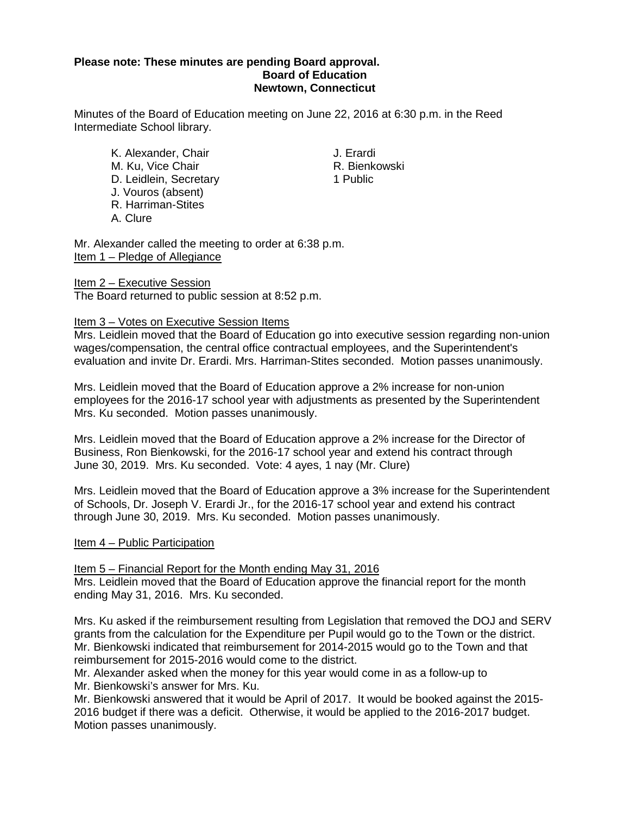## **Please note: These minutes are pending Board approval. Board of Education Newtown, Connecticut**

Minutes of the Board of Education meeting on June 22, 2016 at 6:30 p.m. in the Reed Intermediate School library.

- K. Alexander, Chair **Grandisses Executes Chair** J. Erardi<br>M. Ku. Vice Chair **J. Erardisses Executes Chair** M. Ku, Vice Chair **R. Bienkowski**n, N. Bienkowskin<br>D. Leidlein, Secretary M. R. Bienkowskin, N. Brublic D. Leidlein, Secretary J. Vouros (absent) R. Harriman-Stites A. Clure
	-

Mr. Alexander called the meeting to order at 6:38 p.m. Item 1 – Pledge of Allegiance

Item 2 - Executive Session The Board returned to public session at 8:52 p.m.

## Item 3 – Votes on Executive Session Items

Mrs. Leidlein moved that the Board of Education go into executive session regarding non-union wages/compensation, the central office contractual employees, and the Superintendent's evaluation and invite Dr. Erardi. Mrs. Harriman-Stites seconded. Motion passes unanimously.

Mrs. Leidlein moved that the Board of Education approve a 2% increase for non-union employees for the 2016-17 school year with adjustments as presented by the Superintendent Mrs. Ku seconded. Motion passes unanimously.

Mrs. Leidlein moved that the Board of Education approve a 2% increase for the Director of Business, Ron Bienkowski, for the 2016-17 school year and extend his contract through June 30, 2019. Mrs. Ku seconded. Vote: 4 ayes, 1 nay (Mr. Clure)

Mrs. Leidlein moved that the Board of Education approve a 3% increase for the Superintendent of Schools, Dr. Joseph V. Erardi Jr., for the 2016-17 school year and extend his contract through June 30, 2019. Mrs. Ku seconded. Motion passes unanimously.

## Item 4 – Public Participation

Item 5 – Financial Report for the Month ending May 31, 2016

Mrs. Leidlein moved that the Board of Education approve the financial report for the month ending May 31, 2016. Mrs. Ku seconded.

Mrs. Ku asked if the reimbursement resulting from Legislation that removed the DOJ and SERV grants from the calculation for the Expenditure per Pupil would go to the Town or the district. Mr. Bienkowski indicated that reimbursement for 2014-2015 would go to the Town and that reimbursement for 2015-2016 would come to the district.

Mr. Alexander asked when the money for this year would come in as a follow-up to Mr. Bienkowski's answer for Mrs. Ku.

Mr. Bienkowski answered that it would be April of 2017. It would be booked against the 2015- 2016 budget if there was a deficit. Otherwise, it would be applied to the 2016-2017 budget. Motion passes unanimously.